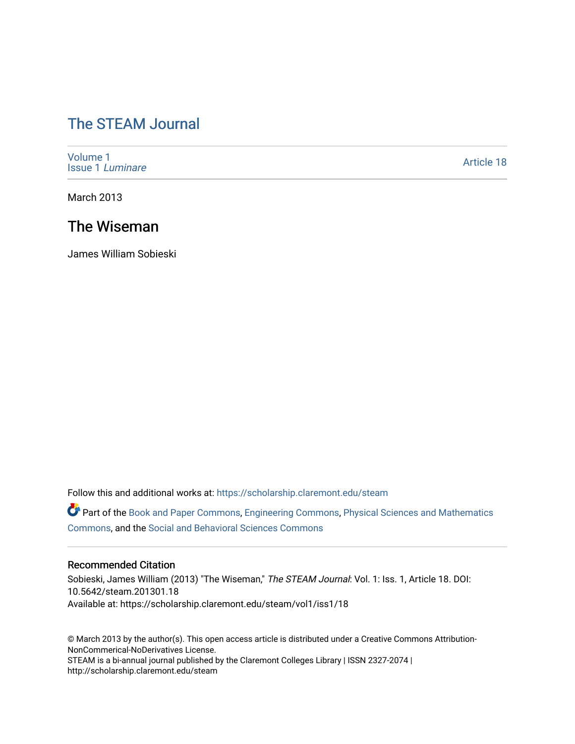# [The STEAM Journal](https://scholarship.claremont.edu/steam)

[Volume 1](https://scholarship.claremont.edu/steam/vol1) [Issue 1](https://scholarship.claremont.edu/steam/vol1/iss1) Luminare

[Article 18](https://scholarship.claremont.edu/steam/vol1/iss1/18) 

March 2013

## The Wiseman

James William Sobieski

Follow this and additional works at: [https://scholarship.claremont.edu/steam](https://scholarship.claremont.edu/steam?utm_source=scholarship.claremont.edu%2Fsteam%2Fvol1%2Fiss1%2F18&utm_medium=PDF&utm_campaign=PDFCoverPages) 

Part of the [Book and Paper Commons](https://network.bepress.com/hgg/discipline/1138?utm_source=scholarship.claremont.edu%2Fsteam%2Fvol1%2Fiss1%2F18&utm_medium=PDF&utm_campaign=PDFCoverPages), [Engineering Commons](https://network.bepress.com/hgg/discipline/217?utm_source=scholarship.claremont.edu%2Fsteam%2Fvol1%2Fiss1%2F18&utm_medium=PDF&utm_campaign=PDFCoverPages), [Physical Sciences and Mathematics](https://network.bepress.com/hgg/discipline/114?utm_source=scholarship.claremont.edu%2Fsteam%2Fvol1%2Fiss1%2F18&utm_medium=PDF&utm_campaign=PDFCoverPages)  [Commons](https://network.bepress.com/hgg/discipline/114?utm_source=scholarship.claremont.edu%2Fsteam%2Fvol1%2Fiss1%2F18&utm_medium=PDF&utm_campaign=PDFCoverPages), and the [Social and Behavioral Sciences Commons](https://network.bepress.com/hgg/discipline/316?utm_source=scholarship.claremont.edu%2Fsteam%2Fvol1%2Fiss1%2F18&utm_medium=PDF&utm_campaign=PDFCoverPages)

#### Recommended Citation

Sobieski, James William (2013) "The Wiseman," The STEAM Journal: Vol. 1: Iss. 1, Article 18. DOI: 10.5642/steam.201301.18 Available at: https://scholarship.claremont.edu/steam/vol1/iss1/18

© March 2013 by the author(s). This open access article is distributed under a Creative Commons Attribution-NonCommerical-NoDerivatives License. STEAM is a bi-annual journal published by the Claremont Colleges Library | ISSN 2327-2074 | http://scholarship.claremont.edu/steam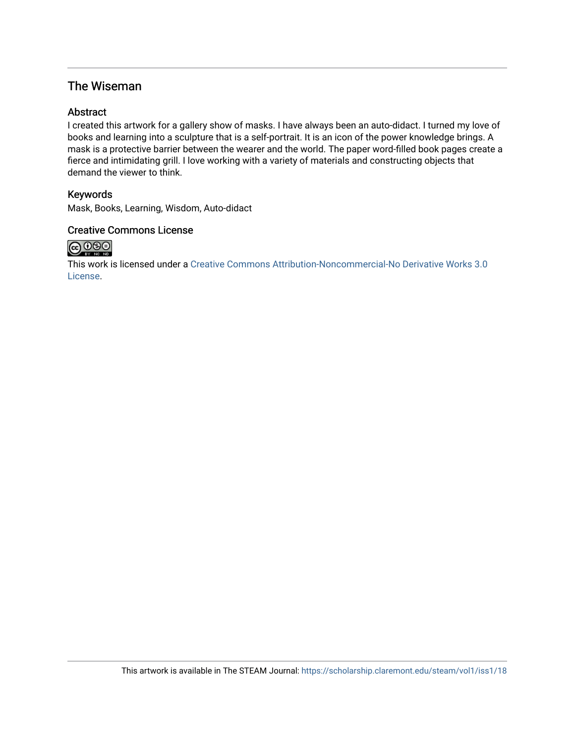### The Wiseman

#### **Abstract**

I created this artwork for a gallery show of masks. I have always been an auto-didact. I turned my love of books and learning into a sculpture that is a self-portrait. It is an icon of the power knowledge brings. A mask is a protective barrier between the wearer and the world. The paper word-filled book pages create a fierce and intimidating grill. I love working with a variety of materials and constructing objects that demand the viewer to think.

#### Keywords

Mask, Books, Learning, Wisdom, Auto-didact

#### Creative Commons License



This work is licensed under a [Creative Commons Attribution-Noncommercial-No Derivative Works 3.0](https://creativecommons.org/licenses/by-nc-nd/3.0/) [License](https://creativecommons.org/licenses/by-nc-nd/3.0/).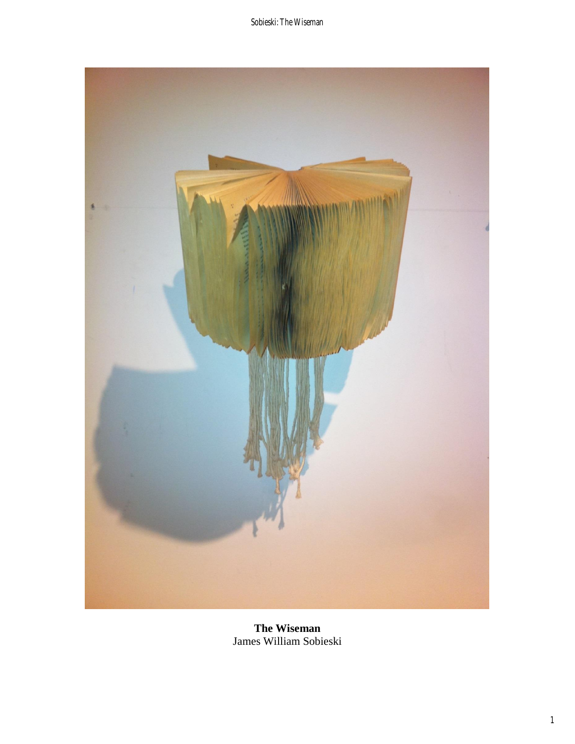

**The Wiseman**  James William Sobieski